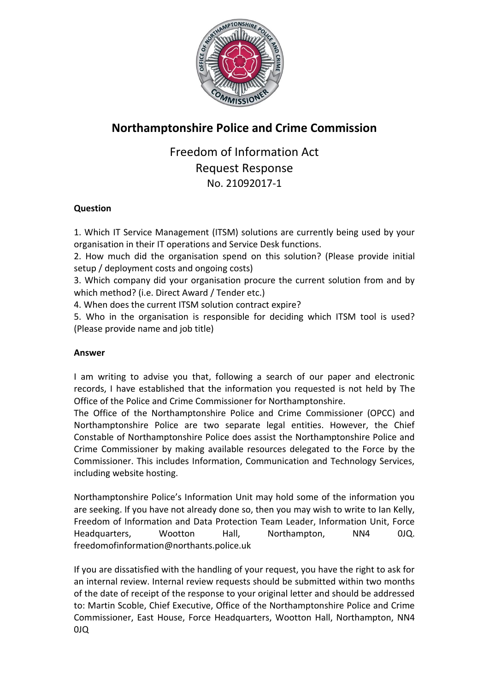

## **Northamptonshire Police and Crime Commission**

## Freedom of Information Act Request Response No. 21092017-1

## **Question**

1. Which IT Service Management (ITSM) solutions are currently being used by your organisation in their IT operations and Service Desk functions.

2. How much did the organisation spend on this solution? (Please provide initial setup / deployment costs and ongoing costs)

3. Which company did your organisation procure the current solution from and by which method? (i.e. Direct Award / Tender etc.)

4. When does the current ITSM solution contract expire?

5. Who in the organisation is responsible for deciding which ITSM tool is used? (Please provide name and job title)

## **Answer**

I am writing to advise you that, following a search of our paper and electronic records, I have established that the information you requested is not held by The Office of the Police and Crime Commissioner for Northamptonshire.

The Office of the Northamptonshire Police and Crime Commissioner (OPCC) and Northamptonshire Police are two separate legal entities. However, the Chief Constable of Northamptonshire Police does assist the Northamptonshire Police and Crime Commissioner by making available resources delegated to the Force by the Commissioner. This includes Information, Communication and Technology Services, including website hosting.

Northamptonshire Police's Information Unit may hold some of the information you are seeking. If you have not already done so, then you may wish to write to Ian Kelly, Freedom of Information and Data Protection Team Leader, Information Unit, Force Headquarters, Wootton Hall, Northampton, NN4 0JQ. freedomofinformation@northants.police.uk

If you are dissatisfied with the handling of your request, you have the right to ask for an internal review. Internal review requests should be submitted within two months of the date of receipt of the response to your original letter and should be addressed to: Martin Scoble, Chief Executive, Office of the Northamptonshire Police and Crime Commissioner, East House, Force Headquarters, Wootton Hall, Northampton, NN4 0JQ